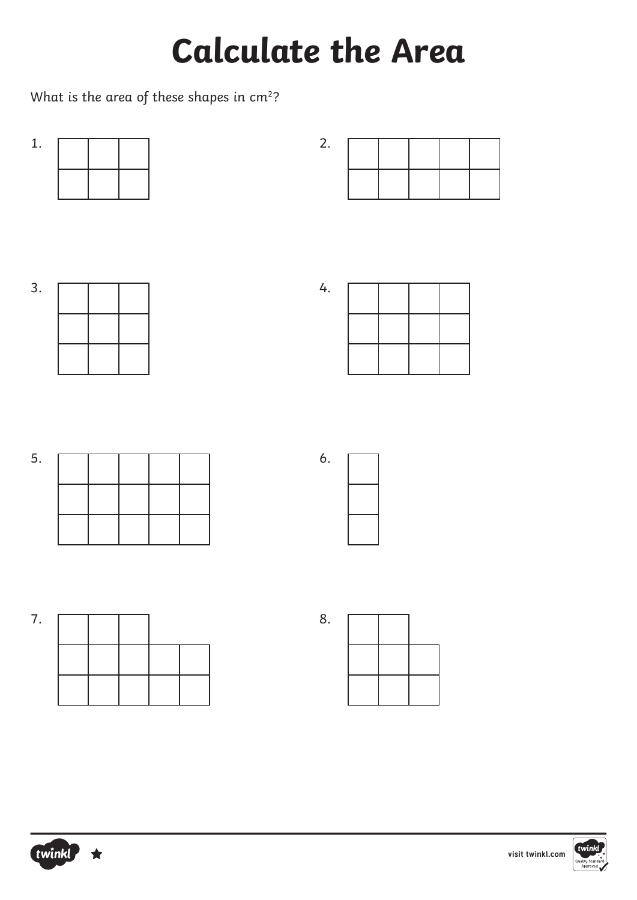What is the area of these shapes in  $cm<sup>2</sup>$ ?





| 4. |  |  |
|----|--|--|
|    |  |  |
|    |  |  |
|    |  |  |
|    |  |  |
|    |  |  |

5.





| 8. |  |  |
|----|--|--|
|    |  |  |
|    |  |  |



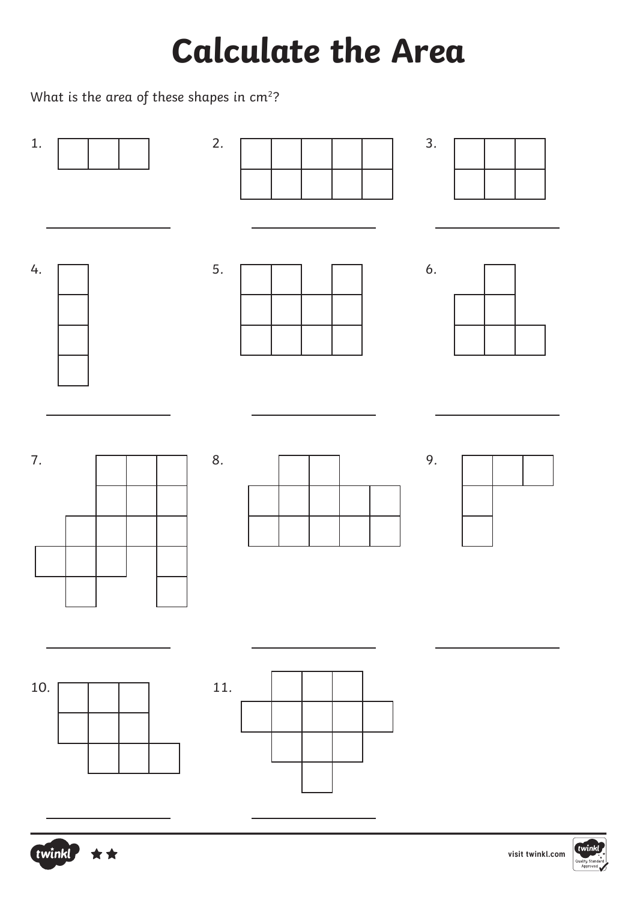What is the area of these shapes in  $cm<sup>2</sup>$ ?





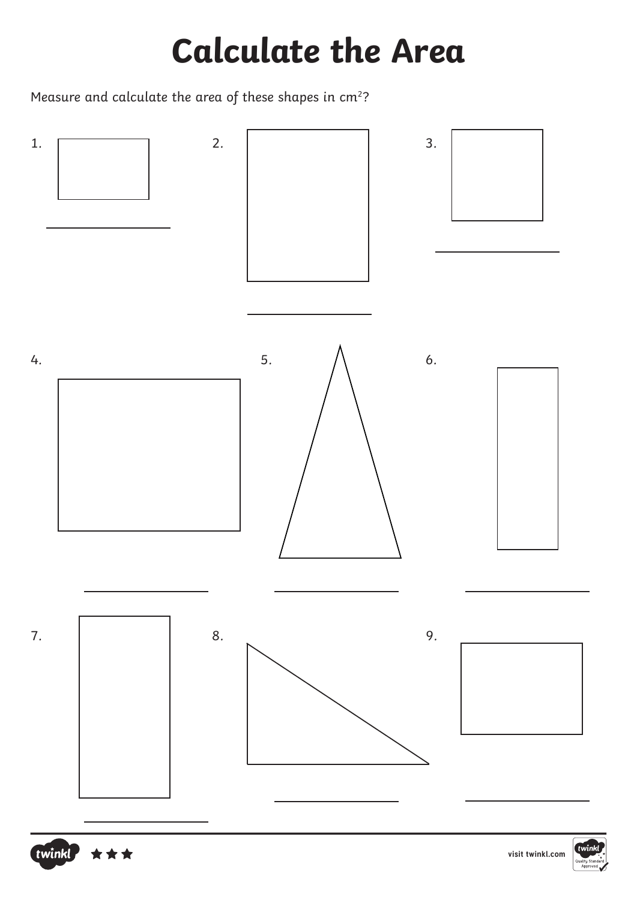Measure and calculate the area of these shapes in cm<sup>2</sup>?





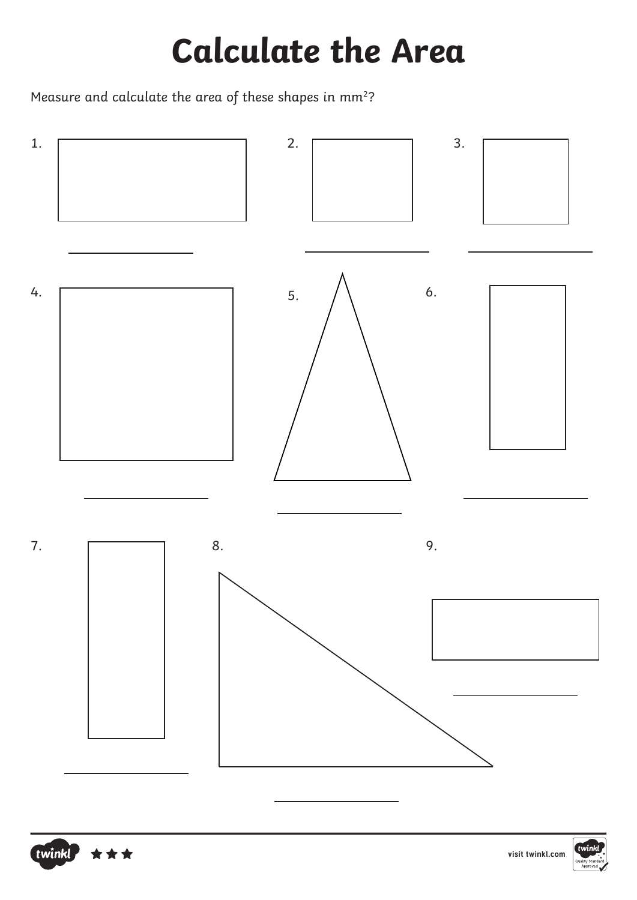Measure and calculate the area of these shapes in mm<sup>2</sup>?